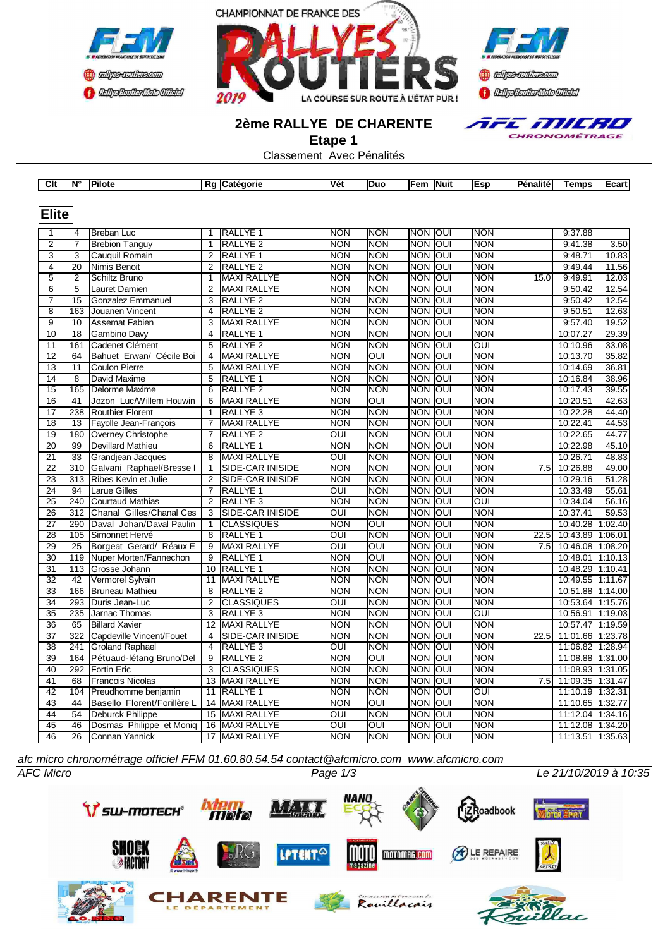





*E MICRO* 

CHRONOMÉTRAGE

### **2ème RALLYE DE CHARENTE**

**Etape 1**

Classement Avec Pénalités

| Clt             | Ν°              | <b>Pilote</b>               |                 | Rg Catégorie            | Vét              | Duo            | Fem   Nuit     |            | Esp                     | Pénalité | Temps            | Ecart   |
|-----------------|-----------------|-----------------------------|-----------------|-------------------------|------------------|----------------|----------------|------------|-------------------------|----------|------------------|---------|
|                 |                 |                             |                 |                         |                  |                |                |            |                         |          |                  |         |
| <b>Elite</b>    |                 |                             |                 |                         |                  |                |                |            |                         |          |                  |         |
|                 |                 |                             |                 |                         |                  |                |                |            |                         |          |                  |         |
| 1               | 4               | <b>Breban Luc</b>           | 1               | RALLYE <sub>1</sub>     | <b>NON</b>       | <b>NON</b>     | <b>NON</b>     | loui       | <b>NON</b>              |          | 9:37.88          |         |
| $\overline{2}$  | $\overline{7}$  | <b>Brebion Tanguy</b>       | 1               | RALLYE <sub>2</sub>     | <b>NON</b>       | <b>NON</b>     | <b>NON</b>     | loui       | <b>NON</b>              |          | 9:41.38          | 3.50    |
| $\overline{3}$  | 3               | Cauquil Romain              | $\overline{2}$  | RALLYE <sub>1</sub>     | <b>NON</b>       | <b>NON</b>     | <b>NON OUI</b> |            | <b>NON</b>              |          | 9:48.71          | 10.83   |
| $\overline{4}$  | 20              | Nimis Benoit                | 2               | RALLYE <sub>2</sub>     | <b>NON</b>       | <b>NON</b>     | <b>NON</b>     | loui       | <b>NON</b>              |          | 9:49.44          | 11.56   |
| $\overline{5}$  | $\overline{2}$  | Schiltz Bruno               | $\mathbf{1}$    | <b>MAXI RALLYE</b>      | <b>NON</b>       | <b>NON</b>     | <b>NON</b>     | JON        | <b>NON</b>              | 15.0     | 9:49.91          | 12.03   |
| 6               | 5               | Lauret Damien               | $\overline{2}$  | MAXI RALLYE             | <b>NON</b>       | <b>NON</b>     | <b>NON</b>     | OUI        | <b>NON</b>              |          | 9:50.42          | 12.54   |
| $\overline{7}$  | $\overline{15}$ | <b>Gonzalez Emmanuel</b>    | 3               | <b>RALLYE 2</b>         | <b>NON</b>       | <b>NON</b>     | <b>NON</b>     | OUI        | <b>NON</b>              |          | 9:50.42          | 12.54   |
| $\overline{8}$  | 163             | Jouanen Vincent             | $\overline{4}$  | <b>RALLYE 2</b>         | <b>NON</b>       | <b>NON</b>     | <b>NON</b>     | <b>OUI</b> | <b>NON</b>              |          | 9:50.51          | 12.63   |
| $\overline{9}$  | 10              | <b>Assemat Fabien</b>       | 3               | <b>MAXI RALLYE</b>      | <b>NON</b>       | <b>NON</b>     | <b>NON</b>     | OUI        | <b>NON</b>              |          | 9:57.40          | 19.52   |
| 10              | $\overline{18}$ | Gambino Davy                | $\overline{4}$  | <b>RALLYE 1</b>         | <b>NON</b>       | <b>NON</b>     | <b>NON</b>     | OUI        | <b>NON</b>              |          | 10:07.27         | 29.39   |
| 11              | 161             | Cadenet Clément             | 5               | RALLYE <sub>2</sub>     | <b>NON</b>       | <b>NON</b>     | <b>NON</b>     | <b>OUI</b> | OUI                     |          | 10:10.96         | 33.08   |
| 12              | 64              | Bahuet Erwan/ Cécile Boi    | 4               | MAXI RALLYE             | <b>NON</b>       | OUI            | <b>NON</b>     | loui       | <b>NON</b>              |          | 10:13.70         | 35.82   |
| 13              | 11              | <b>Coulon Pierre</b>        | 5               | MAXI RALLYE             | <b>NON</b>       | <b>NON</b>     | <b>NON</b>     | OUI        | <b>NON</b>              |          | 10:14.69         | 36.81   |
| 14              | 8               | David Maxime                | 5               | RALLYE 1                | <b>NON</b>       | <b>NON</b>     | <b>NON</b>     | loui       | <b>NON</b>              |          | 10:16.84         | 38.96   |
| 15              | 165             | Delorme Maxime              | 6               | <b>RALLYE 2</b>         | <b>NON</b>       | <b>NON</b>     | <b>NON</b>     | JON        | <b>NON</b>              |          | 10:17.43         | 39.55   |
| 16              | 41              | Jozon Luc/Willem Houwin     | 6               | <b>MAXI RALLYE</b>      | <b>NON</b>       | <b>OUI</b>     | <b>NON</b>     | loui       | <b>NON</b>              |          | 10:20.51         | 42.63   |
| $\overline{17}$ | 238             | <b>Routhier Florent</b>     | $\mathbf{1}$    | RALLYE <sub>3</sub>     | <b>NON</b>       | <b>NON</b>     | <b>NON</b>     | loui       | <b>NON</b>              |          | 10:22.28         | 44.40   |
| $\overline{18}$ | 13              | Fayolle Jean-François       | 7               | <b>MAXI RALLYE</b>      | <b>NON</b>       | <b>NON</b>     | <b>NON</b>     | <b>OUI</b> | <b>NON</b>              |          | 10:22.41         | 44.53   |
| $\overline{19}$ | 180             | Overney Christophe          | 7               | <b>RALLYE 2</b>         | $\overline{OUI}$ | <b>NON</b>     | <b>NON</b>     | loui       | <b>NON</b>              |          | 10:22.65         | 44.77   |
| $\overline{20}$ | 99              | <b>Devillard Mathieu</b>    | 6               | <b>RALLYE 1</b>         | <b>NON</b>       | <b>NON</b>     | <b>NON</b>     | loui       | <b>NON</b>              |          | 10:22.98         | 45.10   |
| 21              | 33              | Grandiean Jacques           | 8               | MAXI RALLYE             | <b>OUI</b>       | <b>NON</b>     | <b>NON</b>     | loui       | <b>NON</b>              |          | 10:26.71         | 48.83   |
| 22              | 310             | Galvani Raphael/Bresse I    | 1               | SIDE-CAR INISIDE        | <b>NON</b>       | <b>NON</b>     | <b>NON</b>     | loui       | <b>NON</b>              | 7.5      | 10:26.88         | 49.00   |
| 23              | 313             | Ribes Kevin et Julie        | 2               | SIDE-CAR INISIDE        | <b>NON</b>       | <b>NON</b>     | <b>NON</b>     | loui       | <b>NON</b>              |          | 10:29.16         | 51.28   |
| 24              | 94              | Larue Gilles                | $\overline{7}$  | RALLYE 1                | OUI              | <b>NON</b>     | <b>NON</b>     | loui       | <b>NON</b>              |          | 10:33.49         | 55.61   |
| 25              | 240             | <b>Courtaud Mathias</b>     | $\overline{2}$  | RALLYE <sub>3</sub>     | <b>NON</b>       | <b>NON</b>     | <b>NON</b>     | loui       | ОUІ                     |          | 10:34.04         | 56.16   |
| 26              | 312             | Chanal Gilles/Chanal Ces    | 3               | SIDE-CAR INISIDE        | <b>OUI</b>       | <b>NON</b>     | <b>NON</b>     | loui       | <b>NON</b>              |          | 10:37.41         | 59.53   |
| 27              | 290             | Daval Johan/Daval Paulin    | $\mathbf{1}$    | <b>CLASSIQUES</b>       | <b>NON</b>       | OUI            | <b>NON</b>     | loui       | <b>NON</b>              |          | 10:40.28 1:02.40 |         |
| 28              | 105             | Simonnet Hervé              | 8               | <b>RALLYE 1</b>         | <b>OUI</b>       | <b>NON</b>     | <b>NON</b>     | loui       | <b>NON</b>              | 22.5     | 10:43.89 1:06.01 |         |
| 29              | 25              | Borgeat Gerard/ Réaux E     | 9               | <b>MAXI RALLYE</b>      | OUI              | OUI            | <b>NON</b>     | loui       | <b>NON</b>              | 7.5      | 10:46.08 1:08.20 |         |
| $\overline{30}$ | 119             | Nuper Morten/Fannechon      | 9               | RALLYE 1                | <b>NON</b>       | OUI            | <b>NON</b>     | loui       | <b>NON</b>              |          | 10:48.01 1:10.13 |         |
| $\overline{31}$ | 113             | Grosse Johann               | 10              | <b>RALLYE 1</b>         | <b>NON</b>       | <b>NON</b>     | <b>NON</b>     | loui       | <b>NON</b>              |          | 10:48.29 1:10.41 |         |
| $\overline{32}$ | $\overline{42}$ | Vermorel Sylvain            |                 | 11   MAXI RALLYE        | <b>NON</b>       | <b>NON</b>     | <b>NON</b>     | loui       | <b>NON</b>              |          | 10:49.55 1:11.67 |         |
| 33              | 166             | <b>Bruneau Mathieu</b>      | 8               | <b>RALLYE 2</b>         | <b>NON</b>       | <b>NON</b>     | <b>NON</b>     | loui       | <b>NON</b>              |          | 10:51.88 1:14.00 |         |
| 34              | 293             | Duris Jean-Luc              | 2               | <b>CLASSIQUES</b>       | OUI              | <b>NON</b>     | <b>NON</b>     | loui       | <b>NON</b>              |          | 10:53.64 1:15.76 |         |
| 35              | 235             | Jarnac Thomas               | 3               | RALLYE <sub>3</sub>     | <b>NON</b>       | <b>NON</b>     | <b>NON</b>     | loui       | ОUІ                     |          | 10:56.91 1:19.03 |         |
| 36              | 65              | <b>Billard Xavier</b>       | 12 <sup>°</sup> | <b>MAXI RALLYE</b>      | <b>NON</b>       | <b>NON</b>     | <b>NON</b>     | loui       | <b>NON</b>              |          | 10:57.47         | 1:19.59 |
| 37              | 322             | Capdeville Vincent/Fouet    | $\overline{4}$  | <b>SIDE-CAR INISIDE</b> | <b>NON</b>       | <b>NON</b>     | <b>NON</b>     | loui       | <b>NON</b>              | 22.5     | 11:01.66 1:23.78 |         |
| 38              | 241             | <b>Groland Raphael</b>      | 4               | RALLYE <sub>3</sub>     | <b>OUI</b>       | <b>NON</b>     | <b>NON</b>     | loui       | <b>NON</b>              |          | 11:06.82         | 1:28.94 |
| 39              | 164             | Pétuaud-létang Bruno/Del    | 9               | <b>RALLYE 2</b>         | <b>NON</b>       | $\overline{O}$ | <b>NON</b>     | lon        | <b>NON</b>              |          | 11:08.88 1:31.00 |         |
| 40              | 292             | <b>Fortin Eric</b>          | 3               | <b>CLASSIQUES</b>       | <b>NON</b>       | <b>NON</b>     | <b>NON</b>     | OUI        | <b>NON</b>              |          | 11:08.93 1:31.05 |         |
| 41              | 68              | <b>Francois Nicolas</b>     | 13              | MAXI RALLYE             | <b>NON</b>       | <b>NON</b>     | <b>NON</b>     | loui       | <b>NON</b>              | 7.5      | 11:09.35 1:31.47 |         |
| 42              | 104             | Preudhomme benjamin         | 11              | RALLYE 1                | <b>NON</b>       | <b>NON</b>     | <b>NON</b>     | <b>OUI</b> | $\overline{\text{OUI}}$ |          | 11:10.19 1:32.31 |         |
| 43              | 44              | Basello Florent/Forillère L | 14              | MAXI RALLYE             | <b>NON</b>       | OUI            | <b>NON</b>     | loui       | <b>NON</b>              |          | 11:10.65 1:32.77 |         |
| 44              | 54              | Deburck Philippe            | 15              | MAXI RALLYE             | OUI              | <b>NON</b>     | <b>NON</b>     | loui       | <b>NON</b>              |          | 11:12.04 1:34.16 |         |
| 45              | 46              | Dosmas Philippe et Moniq    | 16              | MAXI RALLYE             | OUI              | OUI            | NON OUI        |            | <b>NON</b>              |          | 11:12.08 1:34.20 |         |
| 46              | $\overline{26}$ | Connan Yannick              | 17              | <b>MAXI RALLYE</b>      | <b>NON</b>       | <b>NON</b>     | <b>NON OUI</b> |            | <b>NON</b>              |          | 11:13.51 1:35.63 |         |
|                 |                 |                             |                 |                         |                  |                |                |            |                         |          |                  |         |

*afc micro chronométrage officiel FFM 01.60.80.54.54 contact@afcmicro.com www.afcmicro.com*

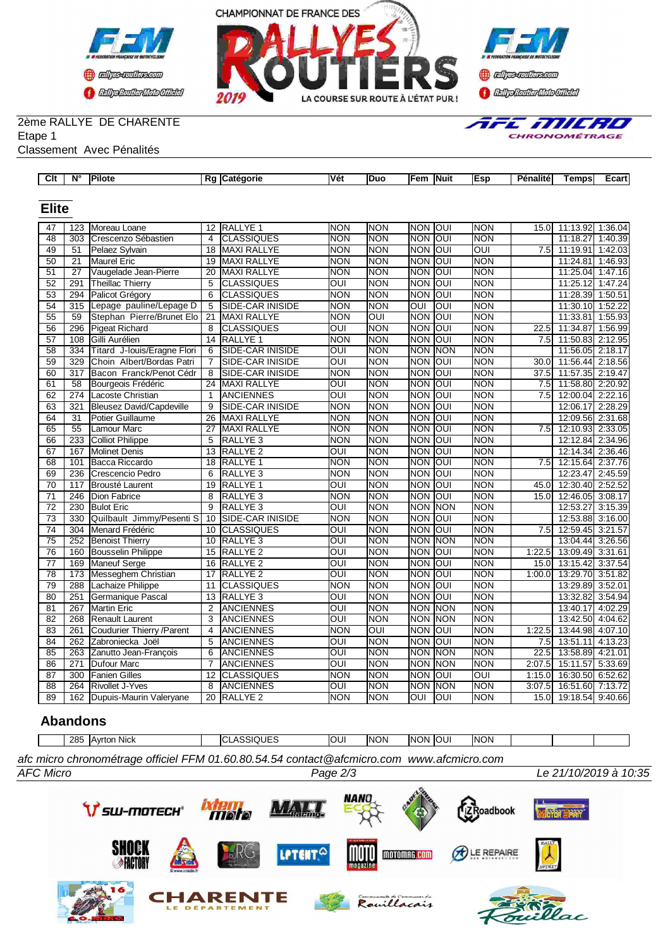



CHRONOMÉTRAGE

#### 2ème RALLYE DE CHARENTE Etape 1

Classement Avec Pénalités

| $\overline{\text{C}}$ lt | $N^{\circ}$      | Pilote                          |                 | Rg Catégorie            | Vét                                | <b>Duo</b> | Fem                     | Nuit       | <b>Esp</b> | Pénalité          | <b>Temps</b>          | <b>Ecart</b> |
|--------------------------|------------------|---------------------------------|-----------------|-------------------------|------------------------------------|------------|-------------------------|------------|------------|-------------------|-----------------------|--------------|
|                          |                  |                                 |                 |                         |                                    |            |                         |            |            |                   |                       |              |
| <b>Elite</b>             |                  |                                 |                 |                         |                                    |            |                         |            |            |                   |                       |              |
|                          |                  |                                 |                 |                         |                                    |            |                         |            |            |                   |                       |              |
| 47                       | 123              | Moreau Loane                    |                 | 12 RALLYE 1             | <b>NON</b>                         | <b>NON</b> | NON OUI                 |            | Inon       | 15.0 <sub>l</sub> | 11:13.92              | 1:36.04      |
| 48                       | 303              | Crescenzo Sébastien             | 4               | <b>CLASSIQUES</b>       | <b>NON</b>                         | <b>NON</b> | NON OUI                 |            | <b>NON</b> |                   | 11:18.27              | 1:40.39      |
| 49                       | 51               | Pelaez Sylvain                  | 18              | <b>MAXI RALLYE</b>      | <b>NON</b>                         | <b>NON</b> | NON OUI                 |            | OUI        | 7.5               | 11:19.91 1:42.03      |              |
| 50                       | 21               | Maurel Eric                     | 19              | <b>MAXI RALLYE</b>      | <b>NON</b>                         | <b>NON</b> | <b>NON OUI</b>          |            | <b>NON</b> |                   | 11:24.81              | 1:46.93      |
| 51                       | 27               | Vaugelade Jean-Pierre           | 20              | <b>MAXI RALLYE</b>      | <b>NON</b>                         | <b>NON</b> | NON OUI                 |            | <b>NON</b> |                   | 11:25.04              | 1:47.16      |
| 52                       | 291              | Theillac Thierry                | 5               | <b>CLASSIQUES</b>       | OUI                                | <b>NON</b> | <b>NON OUI</b>          |            | <b>NON</b> |                   | 11:25.12              | 1:47.24      |
| $\overline{53}$          | 294              | Palicot Grégory                 | $\overline{6}$  | <b>CLASSIQUES</b>       | <b>NON</b>                         | <b>NON</b> | <b>NON OUI</b>          |            | <b>NON</b> |                   | 11:28.39              | 1:50.51      |
| 54                       | 315              | Lepage pauline/Lepage D         | 5               | SIDE-CAR INISIDE        | <b>NON</b>                         | <b>NON</b> | $\overline{\text{out}}$ | lino       | NON        |                   | 11:30.10 1:52.22      |              |
| 55                       | 59               | Stephan Pierre/Brunet Elo       | 21              | MAXI RALLYE             | <b>NON</b>                         | OUI        | <b>NON OUI</b>          |            | <b>NON</b> |                   | 11:33.81              | 1:55.93      |
| 56                       | 296              | Pigeat Richard                  | 8               | <b>CLASSIQUES</b>       | OUI                                | <b>NON</b> | NON OUI                 |            | <b>NON</b> | 22.5              | 11:34.87              | 1:56.99      |
| 57                       | 108              | Gilli Aurélien                  | 14              | <b>RALLYE 1</b>         | <b>NON</b>                         | <b>NON</b> | <b>NON</b>              | JO         | <b>NON</b> | 7.5               | 11:50.83              | 2:12.95      |
| 58                       | 334              | Titard J-Iouis/Eragne Flori     | 6               | <b>SIDE-CAR INISIDE</b> | OUI                                | <b>NON</b> | <b>NON NON</b>          |            | <b>NON</b> |                   | 11:56.05              | 2:18.17      |
| 59                       | 329              | Choin Albert/Bordas Patri       | $\overline{7}$  | SIDE-CAR INISIDE        | OUI                                | <b>NON</b> | <b>NON OUI</b>          |            | <b>NON</b> | 30.0              | 11:56.44 2:18.56      |              |
| 60                       | 317              | Bacon Franck/Penot Cédr         | 8               | <b>SIDE-CAR INISIDE</b> | <b>NON</b>                         | <b>NON</b> | NON OUI                 |            | <b>NON</b> | 37.5              | 11:57.35 2:19.47      |              |
| 61                       | 58               | Bourgeois Frédéric              | 24              | <b>MAXI RALLYE</b>      | $\overline{O}$                     | <b>NON</b> | <b>NON OUI</b>          |            | <b>NON</b> | 7.5               | 11:58.80 2:20.92      |              |
| 62                       | $\overline{274}$ | Lacoste Christian               | $\mathbf{1}$    | <b>ANCIENNES</b>        | $\overline{O}$                     | <b>NON</b> | <b>NON OUI</b>          |            | <b>NON</b> | 7.5               | 12:00.04 2:22.16      |              |
| 63                       | 321              | <b>Bleusez David/Capdeville</b> | 9               | SIDE-CAR INISIDE        | <b>NON</b>                         | <b>NON</b> | <b>NON OUI</b>          |            | <b>NON</b> |                   | 12:06.17 2:28.29      |              |
| 64                       | 31               | Potier Guillaume                | 26              | MAXI RALLYE             | <b>NON</b>                         | <b>NON</b> | <b>NON</b>              | loui       | NON        |                   | 12:09.56 2:31.68      |              |
| 65                       | $\overline{55}$  | Lamour Marc                     | 27              | <b>MAXI RALLYE</b>      | <b>NON</b>                         | <b>NON</b> | <b>NON OUI</b>          |            | <b>NON</b> | 7.5               | 12:10.93              | 2:33.05      |
| 66                       | 233              | <b>Colliot Philippe</b>         | 5               | RALLYE <sub>3</sub>     | <b>NON</b>                         | <b>NON</b> | <b>NON</b>              | loui       | <b>NON</b> |                   | 12:12.84              | 2:34.96      |
| 67                       | 167              | <b>Molinet Denis</b>            | 13              | RALLYE <sub>2</sub>     | $\overline{O}$                     | <b>NON</b> | <b>NON</b>              | JON        | <b>NON</b> |                   | 12:14.34              | 2:36.46      |
| 68                       | 101              | Bacca Riccardo                  | 18              | RALLYE <sub>1</sub>     | <b>NON</b>                         | <b>NON</b> | NON OUI                 |            | <b>NON</b> | 7.5               | 12:15.64 2:37.76      |              |
| 69                       | 236              | Crescencio Pedro                | 6               | RALLYE <sub>3</sub>     | <b>NON</b>                         | <b>NON</b> | NON OUI                 |            | <b>NON</b> |                   | 12:23.47              | 2:45.59      |
| $\overline{70}$          | 117              | Brousté Laurent                 | $\overline{19}$ | <b>RALLYE 1</b>         | $\overline{OUI}$                   | <b>NON</b> | <b>NON OUI</b>          |            | <b>NON</b> | 45.0              | 12:30.40 2:52.52      |              |
| $\overline{71}$          | 246              | Dion Fabrice                    | 8               | RALLYE <sub>3</sub>     | <b>NON</b>                         | <b>NON</b> | <b>NON OUI</b>          |            | <b>NON</b> | 15.0              | 12:46.05              | 3:08.17      |
| $\overline{72}$          | 230              | <b>Bulot Eric</b>               | 9               | RALLYE <sub>3</sub>     | $\overline{O}$                     | <b>NON</b> | <b>NON NON</b>          |            | <b>NON</b> |                   | 12:53.27              | 3:15.39      |
| $\overline{73}$          | 330              | Quilbault Jimmy/Pesenti S       | 10              | SIDE-CAR INISIDE        | <b>NON</b>                         | <b>NON</b> | <b>NON OUI</b>          |            | <b>NON</b> |                   | 12:53.88 3:16.00      |              |
| 74                       | 304              | Menard Frédéric                 | 10              | <b>CLASSIQUES</b>       | OUI                                | <b>NON</b> | NON OUI                 |            | <b>NON</b> | 7.5               | 12:59.45 3:21.57      |              |
| 75                       | 252              | <b>Benoist Thierry</b>          | 10 <sup>°</sup> | RALLYE <sub>3</sub>     | OUI                                | <b>NON</b> | <b>NON NON</b>          |            | <b>NON</b> |                   | 13:04.44              | 3:26.56      |
| $\overline{76}$          | 160              | Bousselin Philippe              | 15              | RALLYE <sub>2</sub>     | $\overline{\overline{\text{OUI}}}$ | <b>NON</b> | <b>NON</b>              | lon        | <b>NON</b> | 1:22.5            | 13:09.49 3:31.61      |              |
| $\overline{77}$          | 169              | <b>Maneuf Serge</b>             | 16              | RALLYE <sub>2</sub>     | $\overline{O}$                     | <b>NON</b> | NON OUI                 |            | <b>NON</b> | 15.0              | 13:15.42              | 3:37.54      |
| 78                       | 173              | Messeghem Christian             | 17              | <b>RALLYE 2</b>         | OUI                                | <b>NON</b> | NON OUI                 |            | <b>NON</b> | 1:00.0            | 13:29.70              | 3:51.82      |
| 79                       | 288              | Lachaize Philippe               | $\overline{11}$ | <b>CLASSIQUES</b>       | <b>NON</b>                         | <b>NON</b> | <b>NON OUI</b>          |            | <b>NON</b> |                   | 13:29.89              | 3:52.01      |
| 80                       | 251              | Germanique Pascal               |                 | 13 RALLYE 3             | $\overline{\text{out}}$            | <b>NON</b> | NON OUI                 |            | <b>NON</b> |                   | 13:32.82              | 3:54.94      |
| 81                       | 267              | Martin Eric                     | $\overline{2}$  | <b>ANCIENNES</b>        | $\overline{\text{OUI}}$            | <b>NON</b> | <b>NON NON</b>          |            | <b>NON</b> |                   | 13:40.17              | 4:02.29      |
| 82                       | 268              | Renault Laurent                 | 3               | <b>ANCIENNES</b>        | OUI                                | <b>NON</b> | <b>NON NON</b>          |            | <b>NON</b> |                   | 13:42.50              | 4:04.62      |
| $\overline{83}$          | 261              | Coudurier Thierry / Parent      | $\overline{4}$  | ANCIENNES               | <b>NON</b>                         | Б          | <b>NON</b>              | ािण        | <b>NON</b> | 1:22.5            | 13:44.98              | 4:07.10      |
| 84                       | 262              | Zabroniecka Joël                | 5               | <b>ANCIENNES</b>        | $\overline{\overline{\text{OUI}}}$ | <b>NON</b> | NON OUI                 |            | <b>NON</b> | 7.5               | 13:51.11              | 4:13.23      |
| 85                       | 263              | Zanutto Jean-François           | 6               | <b>ANCIENNES</b>        | $\overline{O}$                     | <b>NON</b> | <b>NON</b>              | <b>NON</b> | <b>NON</b> | 22.5              | 13:58.89 4:21.01      |              |
| 86                       | 271              | Dufour Marc                     | $\overline{7}$  | <b>ANCIENNES</b>        | $\overline{\overline{\text{OUI}}}$ | <b>NON</b> | <b>NON</b>              | <b>NON</b> | NON        | 2:07.5            | 15:11.57              | 5:33.69      |
| 87                       | 300              | <b>Fanien Gilles</b>            | 12              | <b>CLASSIQUES</b>       | <b>NON</b>                         | <b>NON</b> | <b>NON OUI</b>          |            | OUI        | 1:15.0            | 16:30.50 6:52.62      |              |
| $\overline{88}$          | 264              | <b>Rivollet J-Yves</b>          | 8               | <b>ANCIENNES</b>        | $\overline{\text{OUI}}$            | <b>NON</b> | <b>NON NON</b>          |            | <b>NON</b> | 3:07.5            | 16:51.60 7:13.72      |              |
| 89                       |                  | 162 Dupuis-Maurin Valeryane     |                 | 20 RALLYE 2             | <b>NON</b>                         | <b>NON</b> | OUI                     | loui       | NON        |                   | 15.0 19:18.54 9:40.66 |              |

### **Abandons**